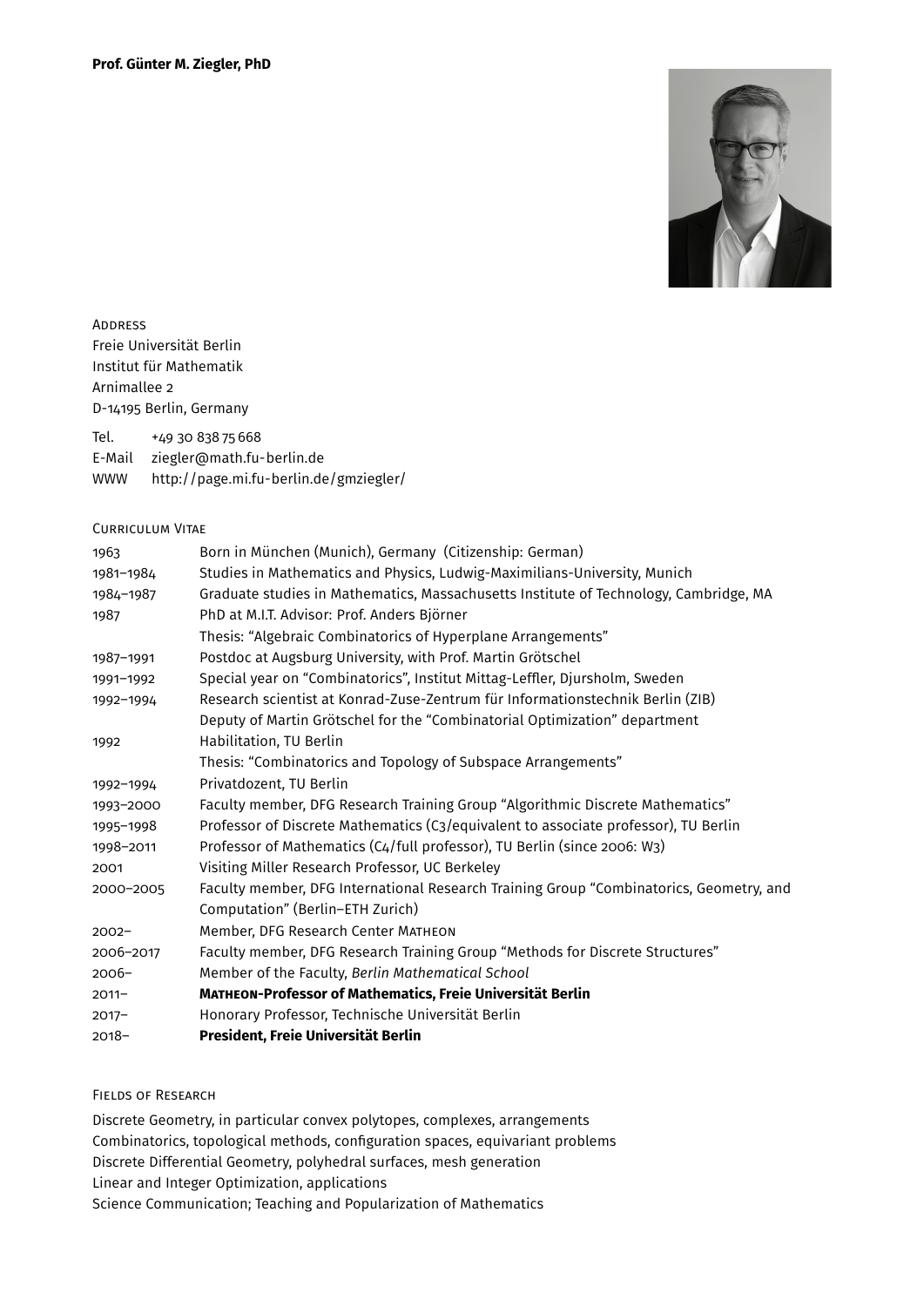

**ADDRESS** Freie Universität Berlin Institut für Mathematik Arnimallee 2 D-14195 Berlin, Germany

Tel. +49 30 838 75 668

E-Mail [ziegler@math.fu-berlin.de](mailto:ziegler@math.fu-berlin.de)

WWW <http://page.mi.fu-berlin.de/gmziegler/>

#### Curriculum Vitae

| Born in München (Munich), Germany (Citizenship: German)                                 |
|-----------------------------------------------------------------------------------------|
| Studies in Mathematics and Physics, Ludwig-Maximilians-University, Munich               |
| Graduate studies in Mathematics, Massachusetts Institute of Technology, Cambridge, MA   |
| PhD at M.I.T. Advisor: Prof. Anders Björner                                             |
| Thesis: "Algebraic Combinatorics of Hyperplane Arrangements"                            |
| Postdoc at Augsburg University, with Prof. Martin Grötschel                             |
| Special year on "Combinatorics", Institut Mittag-Leffler, Djursholm, Sweden             |
| Research scientist at Konrad-Zuse-Zentrum für Informationstechnik Berlin (ZIB)          |
| Deputy of Martin Grötschel for the "Combinatorial Optimization" department              |
| Habilitation, TU Berlin                                                                 |
| Thesis: "Combinatorics and Topology of Subspace Arrangements"                           |
| Privatdozent, TU Berlin                                                                 |
| Faculty member, DFG Research Training Group "Algorithmic Discrete Mathematics"          |
| Professor of Discrete Mathematics (C3/equivalent to associate professor), TU Berlin     |
| Professor of Mathematics (C4/full professor), TU Berlin (since 2006: W3)                |
| Visiting Miller Research Professor, UC Berkeley                                         |
| Faculty member, DFG International Research Training Group "Combinatorics, Geometry, and |
| Computation" (Berlin-ETH Zurich)                                                        |
| Member, DFG Research Center MATHEON                                                     |
| Faculty member, DFG Research Training Group "Methods for Discrete Structures"           |
| Member of the Faculty, Berlin Mathematical School                                       |
| MATHEON-Professor of Mathematics, Freie Universität Berlin                              |
| Honorary Professor, Technische Universität Berlin                                       |
| President, Freie Universität Berlin                                                     |
|                                                                                         |

### Fields of Research

Discrete Geometry, in particular convex polytopes, complexes, arrangements Combinatorics, topological methods, configuration spaces, equivariant problems Discrete Differential Geometry, polyhedral surfaces, mesh generation Linear and Integer Optimization, applications Science Communication; Teaching and Popularization of Mathematics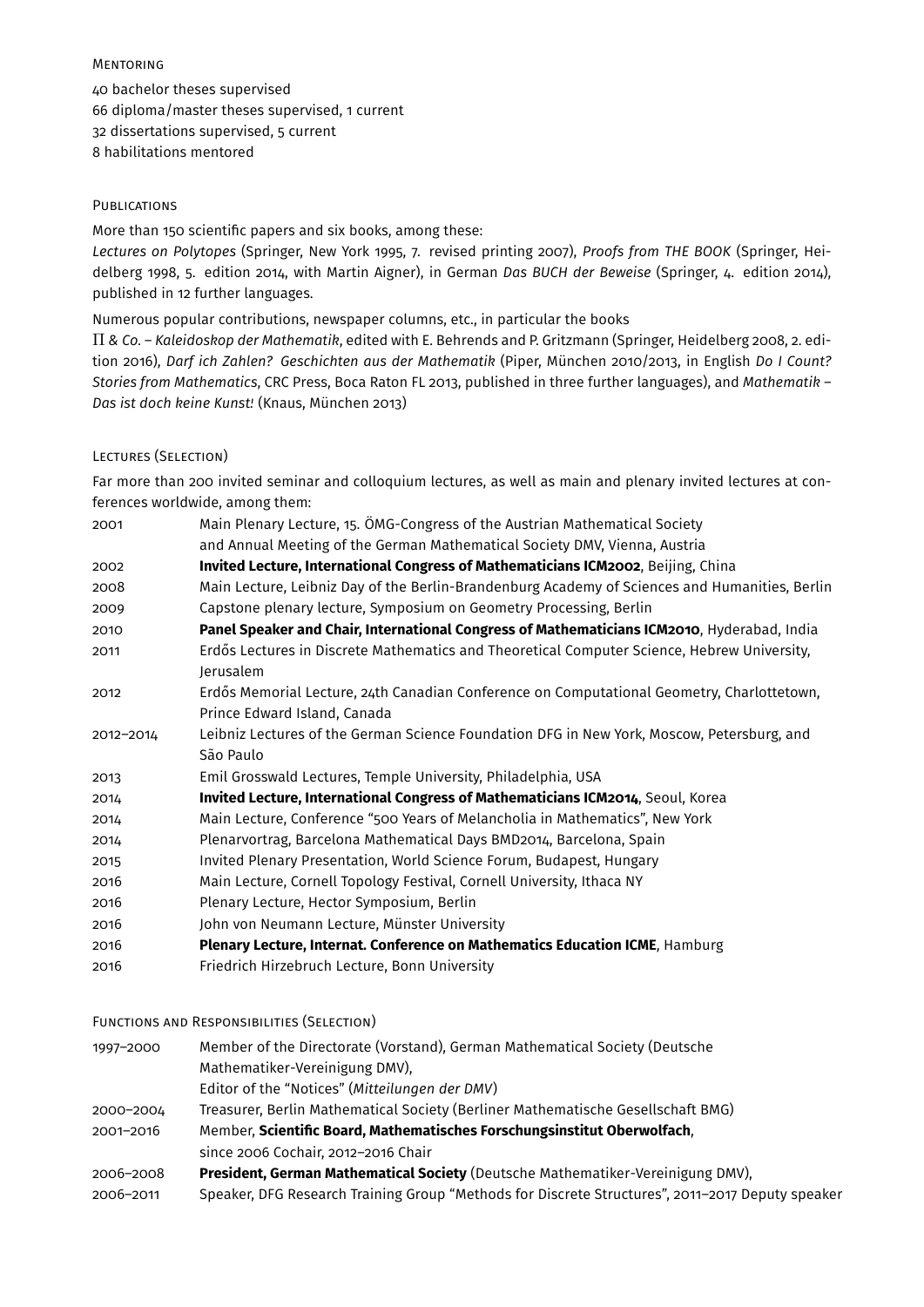### Mentoring

40 bachelor theses supervised 66 diploma/master theses supervised, 1 current 32 dissertations supervised, 5 current 8 habilitations mentored

### **PUBLICATIONS**

More than 150 scientific papers and six books, among these:

*Lectures on Polytopes* (Springer, New York 1995, 7. revised printing 2007), *Proofs from THE BOOK* (Springer, Heidelberg 1998, 5. edition 2014, with Martin Aigner), in German *Das BUCH der Beweise* (Springer, 4. edition 2014), published in 12 further languages.

Numerous popular contributions, newspaper columns, etc., in particular the books

Π *& Co. – Kaleidoskop der Mathematik*, edited with E. Behrends and P. Gritzmann (Springer, Heidelberg 2008, 2. edition 2016), *Darf ich Zahlen? Geschichten aus der Mathematik* (Piper, München 2010/2013, in English *Do I Count? Stories from Mathematics*, CRC Press, Boca Raton FL 2013, published in three further languages), and *Mathematik – Das ist doch keine Kunst!* (Knaus, München 2013)

### Lectures (Selection)

Far more than 200 invited seminar and colloquium lectures, as well as main and plenary invited lectures at conferences worldwide, among them:

| 2001      | Main Plenary Lecture, 15. ÖMG-Congress of the Austrian Mathematical Society                                                |
|-----------|----------------------------------------------------------------------------------------------------------------------------|
|           | and Annual Meeting of the German Mathematical Society DMV, Vienna, Austria                                                 |
| 2002      | Invited Lecture, International Congress of Mathematicians ICM2002, Beijing, China                                          |
| 2008      | Main Lecture, Leibniz Day of the Berlin-Brandenburg Academy of Sciences and Humanities, Berlin                             |
| 2009      | Capstone plenary lecture, Symposium on Geometry Processing, Berlin                                                         |
| 2010      | Panel Speaker and Chair, International Congress of Mathematicians ICM2010, Hyderabad, India                                |
| 2011      | Erdős Lectures in Discrete Mathematics and Theoretical Computer Science, Hebrew University,<br>Jerusalem                   |
| 2012      | Erdős Memorial Lecture, 24th Canadian Conference on Computational Geometry, Charlottetown,<br>Prince Edward Island, Canada |
| 2012-2014 | Leibniz Lectures of the German Science Foundation DFG in New York, Moscow, Petersburg, and<br>São Paulo                    |
| 2013      | Emil Grosswald Lectures, Temple University, Philadelphia, USA                                                              |
| 2014      | Invited Lecture, International Congress of Mathematicians ICM2014, Seoul, Korea                                            |
| 2014      | Main Lecture, Conference "500 Years of Melancholia in Mathematics", New York                                               |
| 2014      | Plenarvortrag, Barcelona Mathematical Days BMD2014, Barcelona, Spain                                                       |
| 2015      | Invited Plenary Presentation, World Science Forum, Budapest, Hungary                                                       |
| 2016      | Main Lecture, Cornell Topology Festival, Cornell University, Ithaca NY                                                     |
| 2016      | Plenary Lecture, Hector Symposium, Berlin                                                                                  |
| 2016      | John von Neumann Lecture, Münster University                                                                               |
| 2016      | Plenary Lecture, Internat. Conference on Mathematics Education ICME, Hamburg                                               |
| 2016      | Friedrich Hirzebruch Lecture, Bonn University                                                                              |

#### Functions and Responsibilities (Selection)

1997–2000 Member of the Directorate (Vorstand), German Mathematical Society (Deutsche Mathematiker-Vereinigung DMV), Editor of the "Notices" (*Mitteilungen der DMV*) 2000–2004 Treasurer, Berlin Mathematical Society (Berliner Mathematische Gesellschaft BMG) 2001–2016 Member, **Scientific Board, Mathematisches Forschungsinstitut Oberwolfach**, since 2006 Cochair, 2012–2016 Chair 2006–2008 **President, German Mathematical Society** (Deutsche Mathematiker-Vereinigung DMV), 2006–2011 Speaker, DFG Research Training Group "Methods for Discrete Structures", 2011–2017 Deputy speaker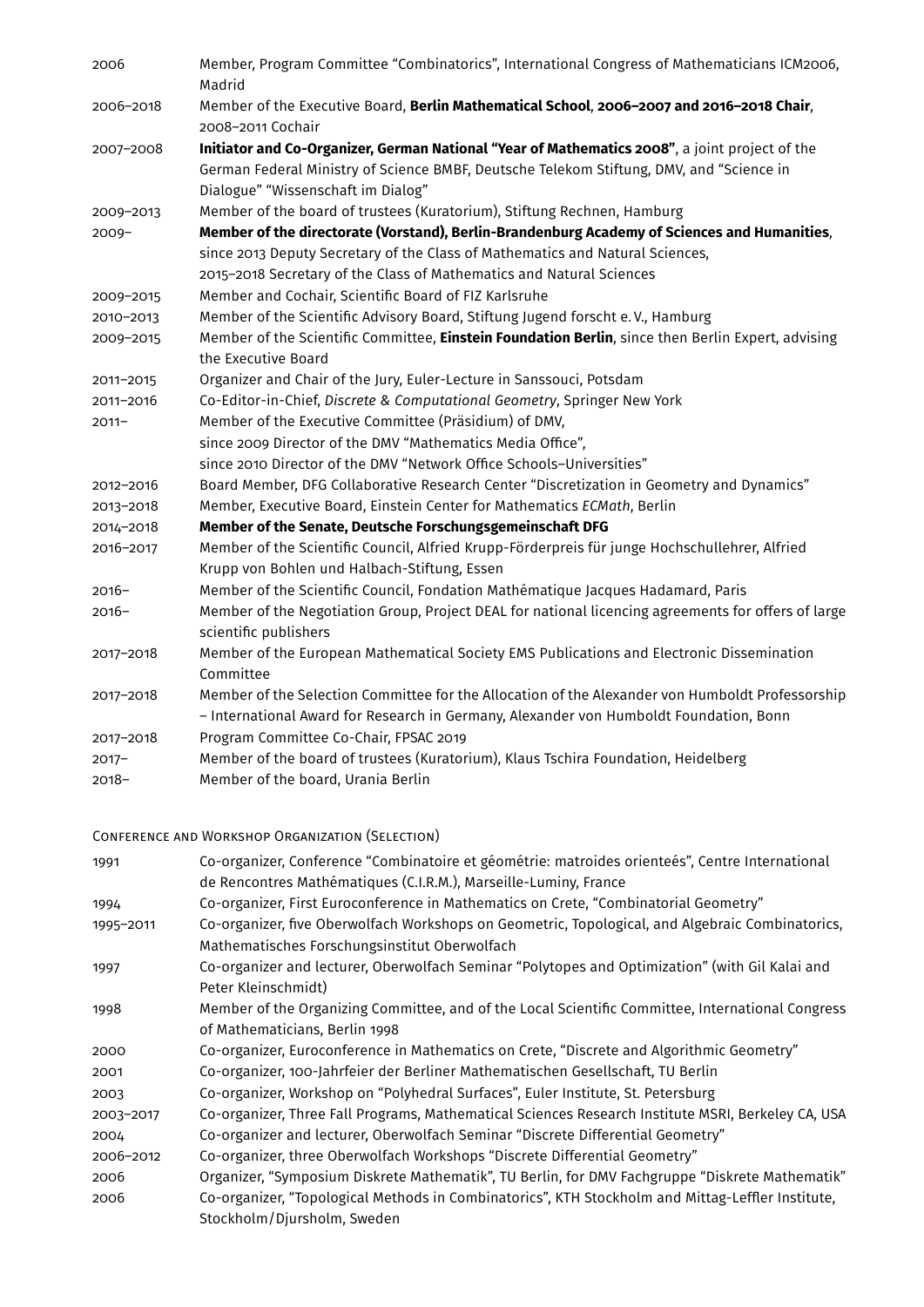| 2006      | Member, Program Committee "Combinatorics", International Congress of Mathematicians ICM2006,<br>Madrid                                                                                                                           |
|-----------|----------------------------------------------------------------------------------------------------------------------------------------------------------------------------------------------------------------------------------|
| 2006-2018 | Member of the Executive Board, Berlin Mathematical School, 2006-2007 and 2016-2018 Chair,<br>2008-2011 Cochair                                                                                                                   |
| 2007-2008 | Initiator and Co-Organizer, German National "Year of Mathematics 2008", a joint project of the<br>German Federal Ministry of Science BMBF, Deutsche Telekom Stiftung, DMV, and "Science in<br>Dialogue" "Wissenschaft im Dialog" |
| 2009-2013 | Member of the board of trustees (Kuratorium), Stiftung Rechnen, Hamburg                                                                                                                                                          |
| $2009 -$  | Member of the directorate (Vorstand), Berlin-Brandenburg Academy of Sciences and Humanities,                                                                                                                                     |
|           | since 2013 Deputy Secretary of the Class of Mathematics and Natural Sciences,                                                                                                                                                    |
|           | 2015-2018 Secretary of the Class of Mathematics and Natural Sciences                                                                                                                                                             |
| 2009-2015 | Member and Cochair, Scientific Board of FIZ Karlsruhe                                                                                                                                                                            |
| 2010-2013 | Member of the Scientific Advisory Board, Stiftung Jugend forscht e.V., Hamburg                                                                                                                                                   |
| 2009-2015 | Member of the Scientific Committee, Einstein Foundation Berlin, since then Berlin Expert, advising<br>the Executive Board                                                                                                        |
| 2011-2015 | Organizer and Chair of the Jury, Euler-Lecture in Sanssouci, Potsdam                                                                                                                                                             |
| 2011-2016 | Co-Editor-in-Chief, Discrete & Computational Geometry, Springer New York                                                                                                                                                         |
| $2011 -$  | Member of the Executive Committee (Präsidium) of DMV,                                                                                                                                                                            |
|           | since 2009 Director of the DMV "Mathematics Media Office",                                                                                                                                                                       |
|           | since 2010 Director of the DMV "Network Office Schools-Universities"                                                                                                                                                             |
| 2012-2016 | Board Member, DFG Collaborative Research Center "Discretization in Geometry and Dynamics"                                                                                                                                        |
| 2013-2018 | Member, Executive Board, Einstein Center for Mathematics ECMath, Berlin                                                                                                                                                          |
| 2014-2018 | Member of the Senate, Deutsche Forschungsgemeinschaft DFG                                                                                                                                                                        |
| 2016-2017 | Member of the Scientific Council, Alfried Krupp-Förderpreis für junge Hochschullehrer, Alfried<br>Krupp von Bohlen und Halbach-Stiftung, Essen                                                                                   |
| $2016 -$  | Member of the Scientific Council, Fondation Mathématique Jacques Hadamard, Paris                                                                                                                                                 |
| $2016 -$  | Member of the Negotiation Group, Project DEAL for national licencing agreements for offers of large<br>scientific publishers                                                                                                     |
| 2017-2018 | Member of the European Mathematical Society EMS Publications and Electronic Dissemination<br>Committee                                                                                                                           |
| 2017-2018 | Member of the Selection Committee for the Allocation of the Alexander von Humboldt Professorship<br>- International Award for Research in Germany, Alexander von Humboldt Foundation, Bonn                                       |
| 2017-2018 | Program Committee Co-Chair, FPSAC 2019                                                                                                                                                                                           |
| $2017 -$  | Member of the board of trustees (Kuratorium), Klaus Tschira Foundation, Heidelberg                                                                                                                                               |
| $2018 -$  | Member of the board, Urania Berlin                                                                                                                                                                                               |

# Conference and Workshop Organization (Selection)

| Co-organizer, Conference "Combinatoire et géométrie: matroides orienteés", Centre International<br>de Rencontres Mathématiques (C.I.R.M.), Marseille-Luminy, France |
|---------------------------------------------------------------------------------------------------------------------------------------------------------------------|
| Co-organizer, First Euroconference in Mathematics on Crete, "Combinatorial Geometry"                                                                                |
| Co-organizer, five Oberwolfach Workshops on Geometric, Topological, and Algebraic Combinatorics,                                                                    |
| Mathematisches Forschungsinstitut Oberwolfach                                                                                                                       |
| Co-organizer and lecturer, Oberwolfach Seminar "Polytopes and Optimization" (with Gil Kalai and                                                                     |
| Peter Kleinschmidt)                                                                                                                                                 |
| Member of the Organizing Committee, and of the Local Scientific Committee, International Congress                                                                   |
| of Mathematicians, Berlin 1998                                                                                                                                      |
| Co-organizer, Euroconference in Mathematics on Crete, "Discrete and Algorithmic Geometry"                                                                           |
| Co-organizer, 100-Jahrfeier der Berliner Mathematischen Gesellschaft, TU Berlin                                                                                     |
| Co-organizer, Workshop on "Polyhedral Surfaces", Euler Institute, St. Petersburg                                                                                    |
| Co-organizer, Three Fall Programs, Mathematical Sciences Research Institute MSRI, Berkeley CA, USA                                                                  |
| Co-organizer and lecturer, Oberwolfach Seminar "Discrete Differential Geometry"                                                                                     |
| Co-organizer, three Oberwolfach Workshops "Discrete Differential Geometry"                                                                                          |
| Organizer, "Symposium Diskrete Mathematik", TU Berlin, for DMV Fachgruppe "Diskrete Mathematik"                                                                     |
| Co-organizer, "Topological Methods in Combinatorics", KTH Stockholm and Mittag-Leffler Institute,                                                                   |
| Stockholm/Djursholm, Sweden                                                                                                                                         |
|                                                                                                                                                                     |